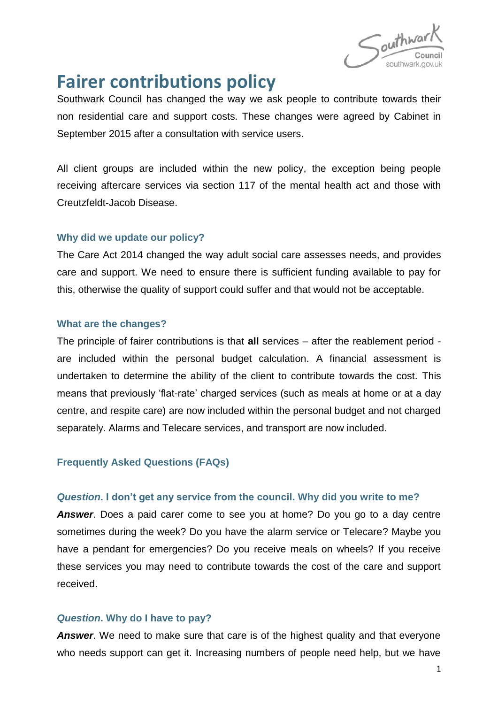

# **Fairer contributions policy**

Southwark Council has changed the way we ask people to contribute towards their non residential care and support costs. These changes were agreed by Cabinet in September 2015 after a consultation with service users.

All client groups are included within the new policy, the exception being people receiving aftercare services via section 117 of the mental health act and those with Creutzfeldt-Jacob Disease.

#### **Why did we update our policy?**

The Care Act 2014 changed the way adult social care assesses needs, and provides care and support. We need to ensure there is sufficient funding available to pay for this, otherwise the quality of support could suffer and that would not be acceptable.

#### **What are the changes?**

The principle of fairer contributions is that **all** services – after the reablement period are included within the personal budget calculation. A financial assessment is undertaken to determine the ability of the client to contribute towards the cost. This means that previously 'flat-rate' charged services (such as meals at home or at a day centre, and respite care) are now included within the personal budget and not charged separately. Alarms and Telecare services, and transport are now included.

# **Frequently Asked Questions (FAQs)**

#### *Question***. I don't get any service from the council. Why did you write to me?**

*Answer*. Does a paid carer come to see you at home? Do you go to a day centre sometimes during the week? Do you have the alarm service or Telecare? Maybe you have a pendant for emergencies? Do you receive meals on wheels? If you receive these services you may need to contribute towards the cost of the care and support received.

# *Question***. Why do I have to pay?**

**Answer**. We need to make sure that care is of the highest quality and that everyone who needs support can get it. Increasing numbers of people need help, but we have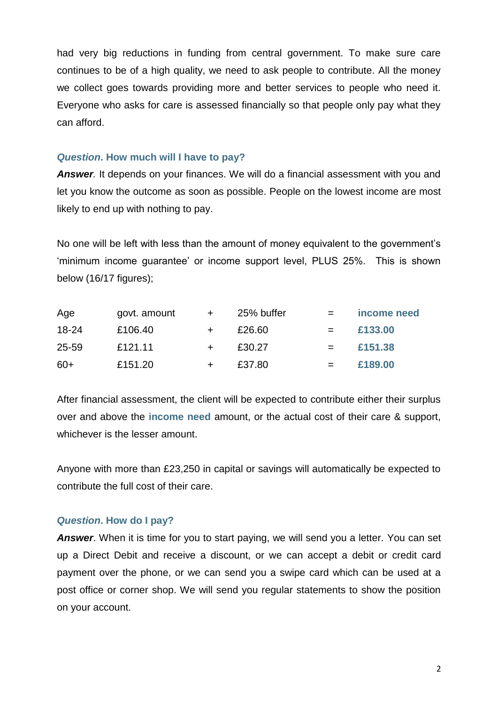had very big reductions in funding from central government. To make sure care continues to be of a high quality, we need to ask people to contribute. All the money we collect goes towards providing more and better services to people who need it. Everyone who asks for care is assessed financially so that people only pay what they can afford.

#### *Question***. How much will I have to pay?**

**Answer**. It depends on your finances. We will do a financial assessment with you and let you know the outcome as soon as possible. People on the lowest income are most likely to end up with nothing to pay.

No one will be left with less than the amount of money equivalent to the government's 'minimum income guarantee' or income support level, PLUS 25%. This is shown below (16/17 figures);

| Age       | govt. amount | ÷ | 25% buffer | $=$ | income need |
|-----------|--------------|---|------------|-----|-------------|
| $18 - 24$ | £106.40      |   | £26.60     | $=$ | £133,00     |
| $25 - 59$ | £121.11      |   | £30.27     | $=$ | £151.38     |
| $60+$     | £151.20      |   | £37.80     | $=$ | £189,00     |

After financial assessment, the client will be expected to contribute either their surplus over and above the **income need** amount, or the actual cost of their care & support, whichever is the lesser amount.

Anyone with more than £23,250 in capital or savings will automatically be expected to contribute the full cost of their care.

# *Question***. How do I pay?**

*Answer*. When it is time for you to start paying, we will send you a letter. You can set up a Direct Debit and receive a discount, or we can accept a debit or credit card payment over the phone, or we can send you a swipe card which can be used at a post office or corner shop. We will send you regular statements to show the position on your account.